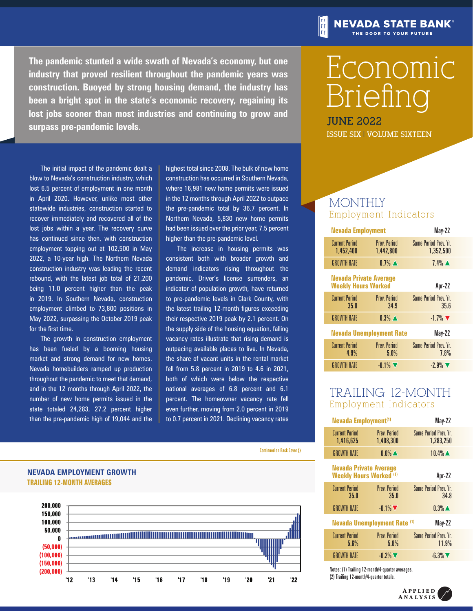**The pandemic stunted a wide swath of Nevada's economy, but one industry that proved resilient throughout the pandemic years was construction. Buoyed by strong housing demand, the industry has been a bright spot in the state's economic recovery, regaining its lost jobs sooner than most industries and continuing to grow and surpass pre-pandemic levels.**

The initial impact of the pandemic dealt a blow to Nevada's construction industry, which lost 6.5 percent of employment in one month in April 2020. However, unlike most other statewide industries, construction started to recover immediately and recovered all of the lost jobs within a year. The recovery curve has continued since then, with construction employment topping out at 102,500 in May 2022, a 10-year high. The Northern Nevada construction industry was leading the recent rebound, with the latest job total of 21,200 being 11.0 percent higher than the peak in 2019. In Southern Nevada, construction employment climbed to 73,800 positions in May 2022, surpassing the October 2019 peak for the first time.

The growth in construction employment has been fueled by a booming housing market and strong demand for new homes. Nevada homebuilders ramped up production throughout the pandemic to meet that demand, and in the 12 months through April 2022, the number of new home permits issued in the state totaled 24,283, 27.2 percent higher than the pre-pandemic high of 19,044 and the highest total since 2008. The bulk of new home construction has occurred in Southern Nevada, where 16,981 new home permits were issued in the 12 months through April 2022 to outpace the pre-pandemic total by 36.7 percent. In Northern Nevada, 5,830 new home permits had been issued over the prior year, 7.5 percent higher than the pre-pandemic level.

The increase in housing permits was consistent both with broader growth and demand indicators rising throughout the pandemic. Driver's license surrenders, an indicator of population growth, have returned to pre-pandemic levels in Clark County, with the latest trailing 12-month figures exceeding their respective 2019 peak by 2.1 percent. On the supply side of the housing equation, falling vacancy rates illustrate that rising demand is outpacing available places to live. In Nevada, the share of vacant units in the rental market fell from 5.8 percent in 2019 to 4.6 in 2021, both of which were below the respective national averages of 6.8 percent and 6.1 percent. The homeowner vacancy rate fell even further, moving from 2.0 percent in 2019 to 0.7 percent in 2021. Declining vacancy rates

Continued on Back Cover >>



# Economic Briefing

**NEVADA STATE BANK®** THE DOOR TO YOUR FUTURE

**JUNE 2022 ISSUE SIX | VOLUME SIXTEEN**

# **MONTHLY** Employment Indicators

| May-22                              | <b>Nevada Employment</b>         |                                                             |
|-------------------------------------|----------------------------------|-------------------------------------------------------------|
| Same Period Prev. Yr.<br>1,352,500  | <b>Prev. Period</b><br>1,442,800 | <b>Current Period</b><br>1,452,400                          |
| $7.4\%$ $\triangle$                 | $0.7\%$ $\blacktriangle$         | <b>GROWTH RATE</b>                                          |
| Apr-22                              |                                  | <b>Nevada Private Average</b><br><b>Weekly Hours Worked</b> |
| Same Period Prev. Yr.<br>35.6       | <b>Prev. Period</b><br>34.9      | <b>Current Period</b><br>35.0                               |
| $-1.7\%$                            | $0.3\%$ $\triangle$              | <b>GROWTH RATE</b>                                          |
| May-22                              | <b>Nevada Unemployment Rate</b>  |                                                             |
| <b>Same Period Prev Yr.</b><br>7.8% | <b>Prev. Period</b><br>5.0%      | <b>Current Period</b><br>4.9%                               |
| $-2.9\%$                            | $-0.1\%$                         | <b>GROWTH RATE</b>                                          |

# TRAILING 12-MONTH Employment Indicators

| May-22                                                                    |  | Nevada Employment <sup>(1)</sup> |                                    |  |
|---------------------------------------------------------------------------|--|----------------------------------|------------------------------------|--|
| Same Period Prev. Yr.<br>1,283,250                                        |  | <b>Prev. Period</b><br>1,408,300 | <b>Current Period</b><br>1,416,625 |  |
| $10.4\%$ $\triangle$                                                      |  | $0.6\%$ $\triangle$              | <b>GROWTH RATE</b>                 |  |
| <b>Nevada Private Average</b><br><b>Weekly Hours Worked (1)</b><br>Apr-22 |  |                                  |                                    |  |
| Same Period Prev. Yr.<br>34.8                                             |  | <b>Prev. Period</b><br>35.0      | <b>Current Period</b><br>35.0      |  |
| $0.3\%$ $\triangle$                                                       |  | $-0.1\%$                         | <b>GROWTH RATE</b>                 |  |
| Nevada Unemployment Rate (1)<br>May-22                                    |  |                                  |                                    |  |
| Same Period Prev. Yr.<br>11.9%                                            |  | <b>Prev. Period</b><br>5.8%      | <b>Current Period</b><br>5.6%      |  |
| $-6.3\%$                                                                  |  | $-0.2\%$ $\nabla$                | <b>GROWTH RATE</b>                 |  |

Notes: (1) Trailing 12-month/4-quarter averages. (2) Trailing 12-month/4-quarter totals.



**TRAILING 12-MONTH AVERAGES NEVADA EMPLOYMENT GROWTH**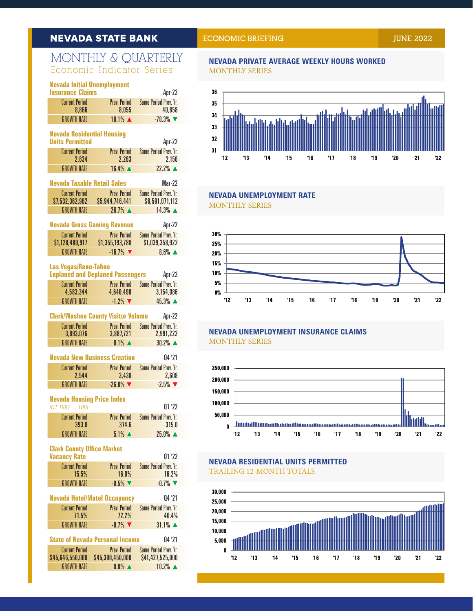# **NEVADA STATE BANK**

# MONTHLY & QUARTERLY Economic Indicator Series

| <b>Nevada Initial Unemployment</b><br><b>Insurance Claims</b> |                                           | Apr-22                                          |
|---------------------------------------------------------------|-------------------------------------------|-------------------------------------------------|
| <b>Current Period</b><br>8,866                                | Prev. Period<br>8,055                     | <b>Same Period Prev. Yr.</b><br>40,858          |
| <b>GROWTH RATE</b>                                            | 10.1% ▲                                   | $-78.3%$                                        |
| <b>Nevada Residential Housing</b><br><b>Units Permitted</b>   |                                           | Apr-22                                          |
| <b>Current Period</b>                                         | Prev. Period                              | <b>Same Period Prev. Yr.</b>                    |
| 2,634                                                         | 2,263                                     | 2,156                                           |
| <b>GROWTH RATE</b>                                            | 16.4% ▲                                   | $22.2%$ $\triangle$                             |
| <b>Nevada Taxable Retail Sales</b>                            |                                           | <b>Mar-22</b>                                   |
| <b>Current Period</b><br>\$7,532,362,962                      | Prev. Period<br>\$5,944,746,441           | <b>Same Period Prev. Yr.</b><br>\$6,591,071,112 |
| <b>GROWTH RATE</b>                                            | $26.7\%$ $\triangle$                      | $14.3\%$ $\triangle$                            |
| <b>Nevada Gross Gaming Revenue</b>                            |                                           | Apr-22                                          |
| <b>Current Period</b>                                         | Prev. Period                              | <b>Same Period Prev. Yr.</b>                    |
| \$1,128,480,917                                               | \$1,355,193,788                           | \$1,039,358,922                                 |
| <b>GROWTH RATE</b>                                            | $-16.7%$                                  | $8.6\%$ $\triangle$                             |
| <b>Las Vegas/Reno-Tahoe</b>                                   | <b>Enplaned and Deplaned Passengers</b>   | Apr-22                                          |
| <b>Current Period</b>                                         |                                           | Prev. Period Same Period Prev. Yr.              |
| 4,583,344                                                     | 4,640,498                                 | 3,154,086                                       |
| <b>GROWTH RATE</b>                                            | $-1.2\%$                                  | 45.3% ▲                                         |
|                                                               | <b>Clark/Washoe County Visitor Volume</b> | Apr-22                                          |
| <b>Current Period</b>                                         | Prev. Period                              | <b>Same Period Prev. Yr.</b>                    |
| 3,893,076<br><b>GROWTH RATE</b>                               | 3,887,721<br>$0.1\%$ $\triangle$          | 2,991,222<br>$30.2%$ $\triangle$                |
|                                                               | <b>Nevada New Business Creation</b>       | 04 '21                                          |
| <b>Current Period</b><br>2,544                                | Prev. Period<br>3,438                     | <b>Same Period Prev. Yr.</b><br>2,608           |
| <b>GROWTH RATE</b>                                            | $-26.0\%$                                 | $-2.5%$                                         |
| <b>Nevada Housing Price Index</b>                             |                                           |                                                 |
| $(Q1 1991 = 100)$                                             |                                           | $01'$ '22                                       |
| <b>Current Period</b><br>393.8                                | Prev. Period<br>374.6                     | <b>Same Period Prev. Yr.</b><br>315.0           |
| <b>GROWTH RATE</b>                                            | $5.1\%$ $\triangle$                       | $25.0\%$ $\triangle$                            |
| <b>Clark County Office Market</b>                             |                                           |                                                 |
| <b>Vacancy Rate</b>                                           |                                           | 01'22                                           |
| <b>Current Period</b><br>15.5%                                | Prev. Period<br>16.0%                     | <b>Same Period Prev. Yr.</b><br>16.2%           |
| <b>GROWTH RATE</b>                                            | $-0.5%$                                   | $-0.7%$                                         |
|                                                               | <b>Nevada Hotel/Motel Occupancy</b>       | 04 '21                                          |
| <b>Current Period</b><br>71.5%                                | Prev. Period<br>72.2%                     | Same Period Prev. Yr.<br>40.4%                  |
| <b>GROWTH RATE</b>                                            | $-0.7\%$                                  | $31.1\%$ $\triangle$                            |
|                                                               | <b>State of Nevada Personal Income</b>    |                                                 |
| <b>Current Period</b>                                         | Prev. Period                              | 04 '21<br><b>Same Period Prev. Yr.</b>          |
|                                                               |                                           |                                                 |

GROWTH RATE  $0.8\%$   $\blacktriangle$   $10.2\%$   $\blacktriangle$ 

## **NEVADA PRIVATE AVERAGE WEEKLY HOURS WORKED** MONTHLY SERIES



 $16$ 

 $17$ 

 $19$ 

'18

 $20$ 

 $21$ 

 $22$ 

## **NEVADA UNEMPLOYMENT RATE** MONTHLY SERIES

 $14$ 

 $15$ 

 $12$ 

 $13$ 



## **NEVADA UNEMPLOYMENT INSURANCE CLAIMS** MONTHLY SERIES



# **NEVADA RESIDENTIAL UNITS PERMITTED** TRAILING 12-MONTH TOTALS

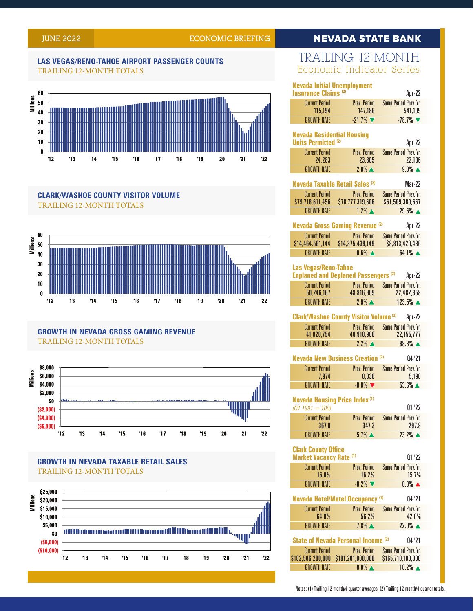## **JUNE 2022 ECONOMIC BRIEFING**

# **NEVADA STATE BANK**

#### **LAS VEGAS/RENO-TAHOE AIRPORT PASSENGER COUNTS** TRAILING 12-MONTH TOTALS



## **CLARK/WASHOE COUNTY VISITOR VOLUME** TRAILING 12-MONTH TOTALS



# **GROWTH IN NEVADA GROSS GAMING REVENUE** TRAILING 12-MONTH TOTALS



## **GROWTH IN NEVADA TAXABLE RETAIL SALES** TRAILING 12-MONTH TOTALS



# TRAILING 12-MONTH Economic Indicator Series

| <b>Nevada Initial Unemployment</b>                  |                                               |                                          |  |  |
|-----------------------------------------------------|-----------------------------------------------|------------------------------------------|--|--|
| <b>Insurance Claims (2)</b>                         | <b>Prev Period</b>                            | Apr-22                                   |  |  |
| <b>Current Period</b><br>115,194                    | 147,186                                       | <b>Same Period Prev. Yr.</b><br>541,109  |  |  |
| <b>GROWTH RATE</b>                                  | $-21.7%$                                      | $-78.7%$                                 |  |  |
| <b>Nevada Residential Housing</b>                   |                                               |                                          |  |  |
| <b>Units Permitted (2)</b>                          |                                               | Apr-22                                   |  |  |
| <b>Current Period</b>                               | Prev. Period                                  | <b>Same Period Prev. Yr.</b>             |  |  |
| 24,283                                              | 23,805                                        | 22,106                                   |  |  |
| <b>GROWTH RATE</b>                                  | $2.0\%$ $\triangle$                           | $9.8\%$ $\triangle$                      |  |  |
|                                                     | Nevada Taxable Retail Sales <sup>(2)</sup>    | <b>Mar-22</b>                            |  |  |
| <b>Current Period</b>                               | <b>Prev. Period</b>                           | <b>Same Period Prev. Yr.</b>             |  |  |
| \$79,718,611,456                                    | \$78,777,319,606                              | \$61,509,380,667                         |  |  |
| <b>GROWTH RATE</b>                                  | $1.2\%$ $\triangle$                           | 29.6% ▲                                  |  |  |
|                                                     | <b>Nevada Gross Gaming Revenue (2)</b>        | Apr-22                                   |  |  |
| <b>Current Period</b>                               | Prev. Period                                  | <b>Same Period Prev. Yr.</b>             |  |  |
| \$14,464,561,144                                    | \$14,375,439,149                              | \$8,813,420,436                          |  |  |
| <b>GROWTH RATE</b>                                  | $0.6\%$ $\triangle$                           | $64.1\%$ $\triangle$                     |  |  |
| <b>Las Vegas/Reno-Tahoe</b>                         |                                               |                                          |  |  |
|                                                     | <b>Enplaned and Deplaned Passengers (2)</b>   | Apr-22                                   |  |  |
| <b>Current Period</b>                               | Prev. Period                                  | <b>Same Period Prev. Yr.</b>             |  |  |
| 50,246,167                                          | 48,816,909                                    | 22,482,358                               |  |  |
| <b>GROWTH RATE</b>                                  | $2.9\%$ $\triangle$                           | 123.5% ▲                                 |  |  |
|                                                     | <b>Clark/Washoe County Visitor Volume (2)</b> | Apr-22                                   |  |  |
| <b>Current Period</b>                               | Prev. Period                                  | Same Period Prev. Yr.                    |  |  |
| 41,820,754                                          | 40,918,900                                    | 22,155,777                               |  |  |
| <b>GROWTH RATE</b>                                  | $2.2\%$ $\triangle$                           | 88.8% A                                  |  |  |
|                                                     | <b>Nevada New Business Creation (2)</b>       | 04 '21                                   |  |  |
| <b>Current Period</b>                               | Prev. Period                                  | <b>Same Period Prev. Yr.</b>             |  |  |
| 7,974                                               | 8,038                                         | 5,190                                    |  |  |
| <b>GROWTH RATE</b>                                  | $-0.8\%$                                      | $53.6\%$ $\triangle$                     |  |  |
| <b>Nevada Housing Price Index (1)</b>               |                                               |                                          |  |  |
| $(Q1 1991 = 100)$                                   |                                               | 01'22                                    |  |  |
| <b>Current Period</b>                               | Prev. Period                                  | <b>Same Period Prev. Yr.</b>             |  |  |
| 367.0<br><b>GROWTH RATE</b>                         | 347.3<br>$5.7\%$ $\triangle$                  | 297.8<br>$23.2\%$ $\triangle$            |  |  |
|                                                     |                                               |                                          |  |  |
| <b>Clark County Office</b>                          |                                               |                                          |  |  |
| <b>Market Vacancy Rate (1)</b>                      |                                               | 01'22                                    |  |  |
| <b>Current Period</b><br>16.0%                      | Prev. Period<br>16.2%                         | <b>Same Period Prev. Yr.</b><br>15.7%    |  |  |
| <b>GROWTH RATE</b>                                  | $-0.2%$                                       | $0.3\%$ $\triangle$                      |  |  |
|                                                     |                                               |                                          |  |  |
|                                                     | <b>Nevada Hotel/Motel Occupancy (1)</b>       | 04 '21                                   |  |  |
| <b>Current Period</b>                               | Prev. Period<br>56.2%                         | <b>Same Period Prev. Yr.</b><br>42.0%    |  |  |
| 64.0%<br><b>GROWTH RATE</b>                         | $7.8\%$ $\triangle$                           | $22.0\%$ $\triangle$                     |  |  |
|                                                     |                                               |                                          |  |  |
| <b>State of Nevada Personal Income (2)</b><br>04'21 |                                               |                                          |  |  |
| <b>Current Period</b><br>\$182,586,200,000          | Prev. Period                                  | Same Period Prev. Yr.                    |  |  |
|                                                     | \$181,201,800,000                             | \$165,710,100,000<br>$10.2%$ $\triangle$ |  |  |

Notes: (1) Trailing 12-month/4-quarter averages. (2) Trailing 12-month/4-quarter totals.